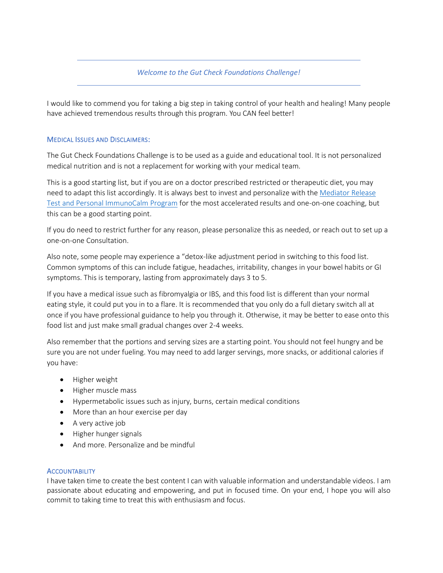#### *Welcome to the Gut Check Foundations Challenge!*

I would like to commend you for taking a big step in taking control of your health and healing! Many people have achieved tremendous results through this program. You CAN feel better!

#### MEDICAL ISSUES AND DISCLAIMERS:

The Gut Check Foundations Challenge is to be used as a guide and educational tool. It is not personalized medical nutrition and is not a replacement for working with your medical team.

This is a good starting list, but if you are on a doctor prescribed restricted or therapeutic diet, you may need to adapt this list accordingly. It is always best to invest and personalize with the [Mediator Release](https://dublindietitian.com/labs/mrt/)  Test [and Personal ImmunoCalm Program](https://dublindietitian.com/labs/mrt/) for the most accelerated results and one-on-one coaching, but this can be a good starting point.

If you do need to restrict further for any reason, please personalize this as needed, or reach out to set up a one-on-one Consultation.

Also note, some people may experience a "detox-like adjustment period in switching to this food list. Common symptoms of this can include fatigue, headaches, irritability, changes in your bowel habits or GI symptoms. This is temporary, lasting from approximately days 3 to 5.

If you have a medical issue such as fibromyalgia or IBS, and this food list is different than your normal eating style, it could put you in to a flare. It is recommended that you only do a full dietary switch all at once if you have professional guidance to help you through it. Otherwise, it may be better to ease onto this food list and just make small gradual changes over 2-4 weeks.

Also remember that the portions and serving sizes are a starting point. You should not feel hungry and be sure you are not under fueling. You may need to add larger servings, more snacks, or additional calories if you have:

- Higher weight
- Higher muscle mass
- Hypermetabolic issues such as injury, burns, certain medical conditions
- More than an hour exercise per day
- A very active job
- Higher hunger signals
- And more. Personalize and be mindful

#### **ACCOUNTABILITY**

I have taken time to create the best content I can with valuable information and understandable videos. I am passionate about educating and empowering, and put in focused time. On your end, I hope you will also commit to taking time to treat this with enthusiasm and focus.